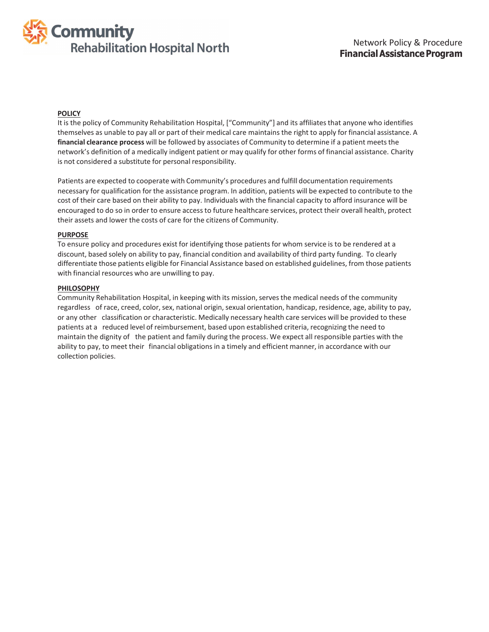

#### **POLICY**

It is the policy of Community Rehabilitation Hospital, ["Community"] and its affiliates that anyone who identifies themselves as unable to pay all or part of their medical care maintains the right to apply for financial assistance. A **financial clearance process** will be followed by associates of Community to determine if a patient meetsthe network's definition of a medically indigent patient or may qualify for other forms of financial assistance. Charity is not considered a substitute for personal responsibility.

Patients are expected to cooperate with Community's procedures and fulfill documentation requirements necessary for qualification for the assistance program. In addition, patients will be expected to contribute to the cost of their care based on their ability to pay. Individuals with the financial capacity to afford insurance will be encouraged to do so in order to ensure accessto future healthcare services, protect their overall health, protect their assets and lower the costs of care for the citizens of Community.

#### **PURPOSE**

To ensure policy and procedures exist for identifying those patients for whom service is to be rendered at a discount, based solely on ability to pay, financial condition and availability of third party funding. To clearly differentiate those patients eligible for Financial Assistance based on established guidelines, from those patients with financial resources who are unwilling to pay.

#### **PHILOSOPHY**

Community Rehabilitation Hospital, in keeping with its mission, serves the medical needs of the community regardless of race, creed, color, sex, national origin, sexual orientation, handicap, residence, age, ability to pay, or any other classification or characteristic. Medically necessary health care services will be provided to these patients at a reduced level of reimbursement, based upon established criteria, recognizing the need to maintain the dignity of the patient and family during the process. We expect all responsible parties with the ability to pay, to meet their financial obligations in a timely and efficient manner, in accordance with our collection policies.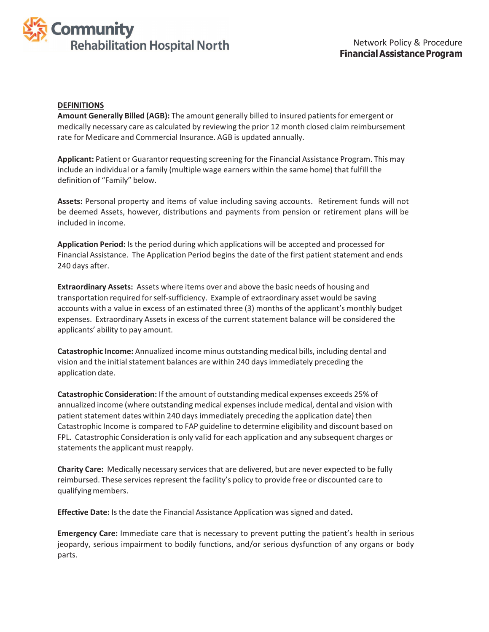

#### **DEFINITIONS**

**Amount Generally Billed (AGB):** The amount generally billed to insured patientsfor emergent or medically necessary care as calculated by reviewing the prior 12 month closed claim reimbursement rate for Medicare and Commercial Insurance. AGB is updated annually.

**Applicant:** Patient or Guarantor requesting screening for the Financial Assistance Program. This may include an individual or a family (multiple wage earners within the same home) that fulfill the definition of "Family" below.

Assets: Personal property and items of value including saving accounts. Retirement funds will not be deemed Assets, however, distributions and payments from pension or retirement plans will be included in income.

**Application Period:** Is the period during which applications will be accepted and processed for Financial Assistance. The Application Period begins the date of the first patient statement and ends 240 days after.

**Extraordinary Assets:** Assets where items over and above the basic needs of housing and transportation required forself-sufficiency. Example of extraordinary asset would be saving accounts with a value in excess of an estimated three (3) months of the applicant's monthly budget expenses. Extraordinary Assets in excess of the current statement balance will be considered the applicants' ability to pay amount.

**Catastrophic Income:** Annualized income minus outstanding medical bills, including dental and vision and the initial statement balances are within 240 days immediately preceding the application date.

**Catastrophic Consideration:** If the amount of outstanding medical expenses exceeds 25% of annualized income (where outstanding medical expensesinclude medical, dental and vision with patient statement dates within 240 days immediately preceding the application date) then Catastrophic Income is compared to FAP guideline to determine eligibility and discount based on FPL. Catastrophic Consideration is only valid for each application and any subsequent charges or statements the applicant must reapply.

**Charity Care:** Medically necessary services that are delivered, but are never expected to be fully reimbursed. These services represent the facility's policy to provide free or discounted care to qualifying members.

**Effective Date:** Is the date the Financial Assistance Application was signed and dated**.**

**Emergency Care:** Immediate care that is necessary to prevent putting the patient's health in serious jeopardy, serious impairment to bodily functions, and/or serious dysfunction of any organs or body parts.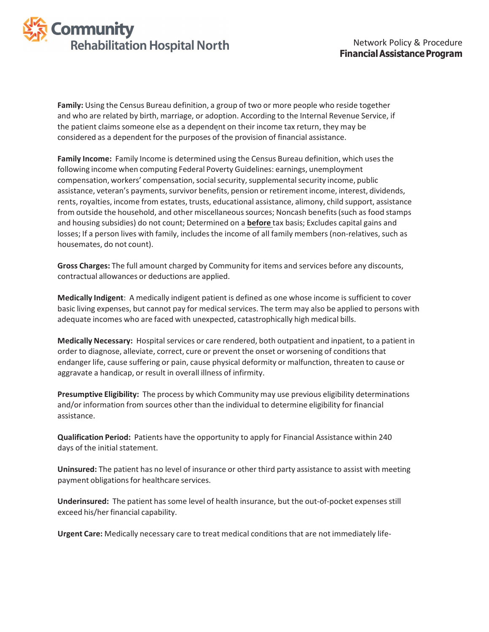

**Family:** Using the Census Bureau definition, a group of two or more people who reside together and who are related by birth, marriage, or adoption. According to the Internal Revenue Service, if the patient claims someone else as a dependent on their income tax return, they may be considered as a dependent for the purposes of the provision of financial assistance.

**Family Income:** Family Income is determined using the Census Bureau definition, which usesthe following income when computing Federal Poverty Guidelines: earnings, unemployment compensation, workers' compensation, social security, supplemental security income, public assistance, veteran's payments, survivor benefits, pension or retirement income, interest, dividends, rents, royalties, income from estates, trusts, educational assistance, alimony, child support, assistance from outside the household, and other miscellaneoussources; Noncash benefits(such as food stamps and housing subsidies) do not count; Determined on a **before** tax basis; Excludes capital gains and losses; If a person lives with family, includes the income of all family members (non-relatives, such as housemates, do not count).

**Gross Charges:** The full amount charged by Community for items and services before any discounts, contractual allowances or deductions are applied.

**Medically Indigent**: A medically indigent patient is defined as one whose income is sufficient to cover basic living expenses, but cannot pay for medical services. The term may also be applied to persons with adequate incomes who are faced with unexpected, catastrophically high medical bills.

**Medically Necessary:** Hospital services or care rendered, both outpatient and inpatient, to a patient in order to diagnose, alleviate, correct, cure or prevent the onset or worsening of conditionsthat endanger life, cause suffering or pain, cause physical deformity or malfunction, threaten to cause or aggravate a handicap, or result in overall illness of infirmity.

**Presumptive Eligibility:** The process by which Community may use previous eligibility determinations and/or information from sources other than the individual to determine eligibility for financial assistance.

**Qualification Period:** Patients have the opportunity to apply for Financial Assistance within 240 days of the initial statement.

**Uninsured:** The patient has no level of insurance or other third party assistance to assist with meeting payment obligations for healthcare services.

**Underinsured:** The patient has some level of health insurance, but the out-of-pocket expenses still exceed his/her financial capability.

**Urgent Care:** Medically necessary care to treat medical conditionsthat are not immediately life-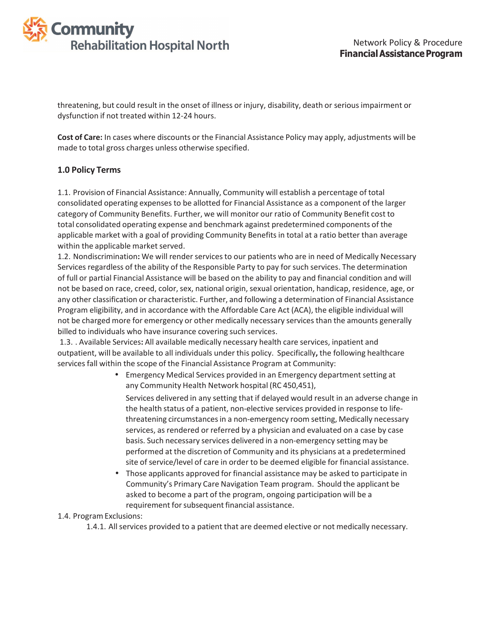

threatening, but could result in the onset of illness or injury, disability, death or serious impairment or dysfunction if not treated within 12-24 hours.

**Cost of Care:** In cases where discounts or the Financial Assistance Policy may apply, adjustments will be made to total gross charges unless otherwise specified.

### **1.0 Policy Terms**

1.1. Provision of Financial Assistance: Annually, Community will establish a percentage of total consolidated operating expenses to be allotted for Financial Assistance as a component of the larger category of Community Benefits. Further, we will monitor our ratio of Community Benefit cost to total consolidated operating expense and benchmark against predetermined components of the applicable market with a goal of providing Community Benefits in total at a ratio better than average within the applicable market served.

1.2. Nondiscrimination**:** We will render servicesto our patients who are in need of Medically Necessary Services regardless of the ability of the Responsible Party to pay forsuch services. The determination of full or partial Financial Assistance will be based on the ability to pay and financial condition and will not be based on race, creed, color, sex, national origin, sexual orientation, handicap, residence, age, or any other classification or characteristic. Further, and following a determination of Financial Assistance Program eligibility, and in accordance with the Affordable Care Act (ACA), the eligible individual will not be charged more for emergency or other medically necessary services than the amounts generally billed to individuals who have insurance covering such services.

1.3. . Available Services**:** All available medically necessary health care services, inpatient and outpatient, will be available to all individuals under this policy. Specifically**,** the following healthcare services fall within the scope of the Financial Assistance Program at Community:

> • Emergency Medical Services provided in an Emergency department setting at any Community Health Network hospital (RC 450,451),

Services delivered in any setting that if delayed would result in an adverse change in the health status of a patient, non-elective services provided in response to lifethreatening circumstancesin a non-emergency room setting, Medically necessary services, as rendered or referred by a physician and evaluated on a case by case basis. Such necessary services delivered in a non-emergency setting may be performed at the discretion of Community and its physicians at a predetermined site of service/level of care in order to be deemed eligible for financial assistance.

• Those applicants approved for financial assistance may be asked to participate in Community's Primary Care Navigation Team program. Should the applicant be asked to become a part of the program, ongoing participation will be a requirement for subsequent financial assistance.

#### 1.4. ProgramExclusions:

1.4.1. All services provided to a patient that are deemed elective or not medically necessary.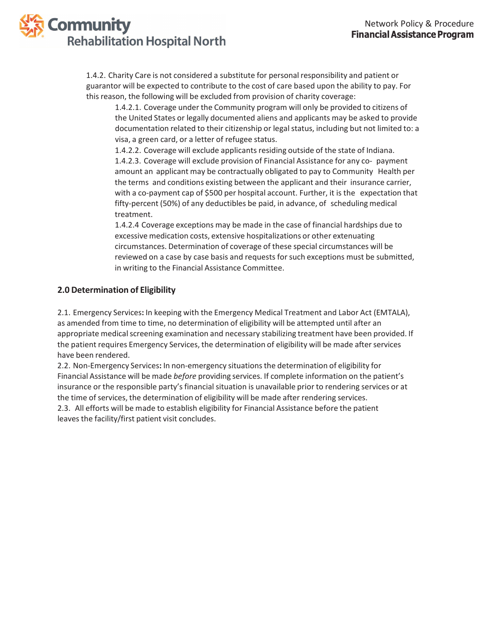

1.4.2. Charity Care is not considered a substitute for personal responsibility and patient or guarantor will be expected to contribute to the cost of care based upon the ability to pay. For this reason, the following will be excluded from provision of charity coverage:

1.4.2.1. Coverage under the Community program will only be provided to citizens of the United States or legally documented aliens and applicants may be asked to provide documentation related to their citizenship or legal status, including but not limited to: a visa, a green card, or a letter of refugee status.

1.4.2.2. Coverage will exclude applicants residing outside of the state of Indiana. 1.4.2.3. Coverage will exclude provision of Financial Assistance for any co- payment amount an applicant may be contractually obligated to pay to Community Health per the terms and conditions existing between the applicant and their insurance carrier, with a co-payment cap of \$500 per hospital account. Further, it is the expectation that fifty-percent (50%) of any deductibles be paid, in advance, of scheduling medical treatment.

1.4.2.4 Coverage exceptions may be made in the case of financial hardships due to excessive medication costs, extensive hospitalizations or other extenuating circumstances. Determination of coverage of these special circumstances will be reviewed on a case by case basis and requests for such exceptions must be submitted, in writing to the Financial Assistance Committee.

## **2.0 Determination of Eligibility**

2.1. Emergency Services**:** In keeping with the Emergency Medical Treatment and Labor Act (EMTALA), as amended from time to time, no determination of eligibility will be attempted until after an appropriate medical screening examination and necessary stabilizing treatment have been provided. If the patient requires Emergency Services, the determination of eligibility will be made afterservices have been rendered.

2.2. Non-Emergency Services**:** In non-emergency situationsthe determination of eligibility for Financial Assistance will be made *before* providing services. If complete information on the patient's insurance or the responsible party's financial situation is unavailable prior to rendering services or at the time of services, the determination of eligibility will be made after rendering services. 2.3. All efforts will be made to establish eligibility for Financial Assistance before the patient leaves the facility/first patient visit concludes.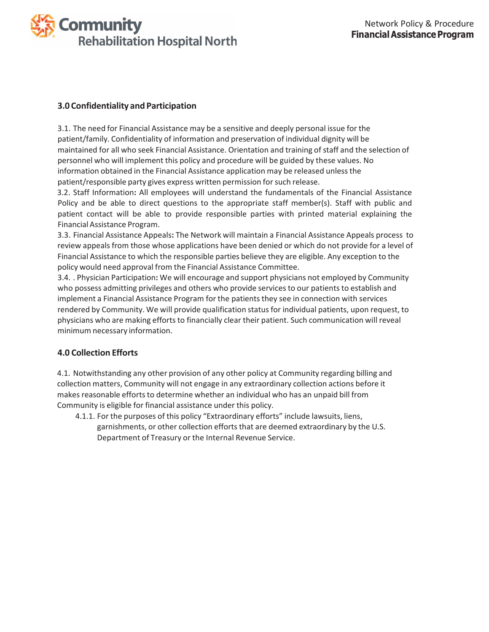

## **3.0 Confidentiality and Participation**

3.1. The need for Financial Assistance may be a sensitive and deeply personal issue for the patient/family. Confidentiality of information and preservation of individual dignity will be maintained for all who seek Financial Assistance. Orientation and training of staff and the selection of personnel who will implement this policy and procedure will be guided by these values. No information obtained in the Financial Assistance application may be released unless the patient/responsible party gives express written permission for such release.

3.2. Staff Information**:** All employees will understand the fundamentals of the Financial Assistance Policy and be able to direct questions to the appropriate staff member(s). Staff with public and patient contact will be able to provide responsible parties with printed material explaining the Financial Assistance Program.

3.3. Financial Assistance Appeals**:** The Network will maintain a Financial Assistance Appeals process to review appeals from those whose applications have been denied or which do not provide for a level of Financial Assistance to which the responsible parties believe they are eligible. Any exception to the policy would need approval from the Financial Assistance Committee.

3.4. . Physician Participation**:** We will encourage and support physicians not employed by Community who possess admitting privileges and others who provide services to our patients to establish and implement a Financial Assistance Program for the patients they see in connection with services rendered by Community. We will provide qualification statusfor individual patients, upon request, to physicians who are making efforts to financially clear their patient. Such communication will reveal minimum necessary information.

# **4.0 Collection Efforts**

4.1. Notwithstanding any other provision of any other policy at Community regarding billing and collection matters, Community will not engage in any extraordinary collection actions before it makes reasonable efforts to determine whether an individual who has an unpaid bill from Community is eligible for financial assistance under this policy.

4.1.1. For the purposes of this policy "Extraordinary efforts" include lawsuits, liens, garnishments, or other collection efforts that are deemed extraordinary by the U.S. Department of Treasury or the Internal Revenue Service.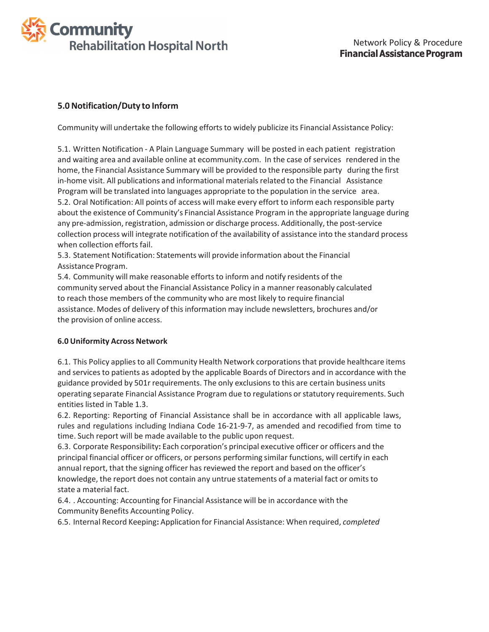

## **5.0Notification/Duty to Inform**

Community will undertake the following efforts to widely publicize its Financial Assistance Policy:

5.1. Written Notification - A Plain Language Summary will be posted in each patient registration and waiting area and available online at ecommunity.com. In the case of services rendered in the home, the Financial Assistance Summary will be provided to the responsible party during the first in-home visit. All publications and informational materials related to the Financial Assistance Program will be translated into languages appropriate to the population in the service area. 5.2. Oral Notification: All points of access will make every effort to inform each responsible party about the existence of Community's Financial Assistance Program in the appropriate language during any pre-admission, registration, admission or discharge process. Additionally, the post-service collection process will integrate notification of the availability of assistance into the standard process when collection efforts fail.

5.3. Statement Notification: Statements will provide information about the Financial Assistance Program.

5.4. Community will make reasonable efforts to inform and notify residents of the community served about the Financial Assistance Policy in a manner reasonably calculated to reach those members of the community who are most likely to require financial assistance. Modes of delivery of this information may include newsletters, brochures and/or the provision of online access.

#### **6.0 Uniformity Across Network**

6.1. This Policy appliesto all Community Health Network corporationsthat provide healthcare items and services to patients as adopted by the applicable Boards of Directors and in accordance with the guidance provided by 501r requirements. The only exclusions to this are certain business units operating separate Financial Assistance Program due to regulations orstatutory requirements. Such entities listed in Table 1.3.

6.2. Reporting: Reporting of Financial Assistance shall be in accordance with all applicable laws, rules and regulations including Indiana Code 16-21-9-7, as amended and recodified from time to time. Such report will be made available to the public upon request.

6.3. Corporate Responsibility**:** Each corporation's principal executive officer or officers and the principal financial officer or officers, or persons performing similar functions, will certify in each annual report, that the signing officer has reviewed the report and based on the officer's knowledge, the report does not contain any untrue statements of a material fact or omitsto state a material fact.

6.4. . Accounting: Accounting for Financial Assistance will be in accordance with the Community Benefits Accounting Policy.

6.5. Internal Record Keeping**:** Application for Financial Assistance: When required, *completed*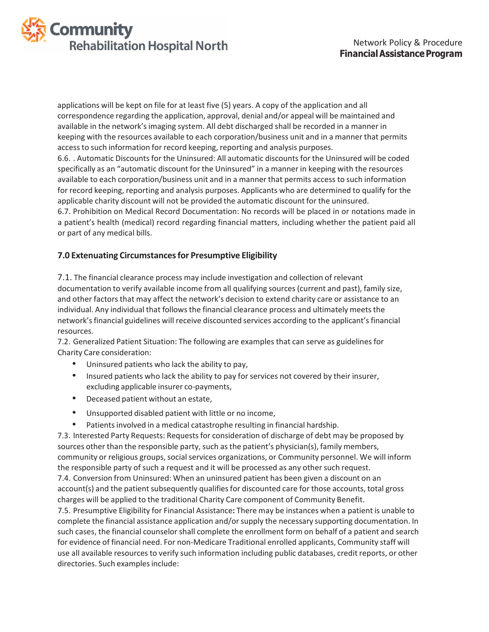

applications will be kept on file for at least five (5) years. A copy of the application and all correspondence regarding the application, approval, denial and/or appeal will be maintained and available in the network'simaging system. All debt discharged shall be recorded in a manner in keeping with the resources available to each corporation/business unit and in a manner that permits accessto such information for record keeping, reporting and analysis purposes. 6.6. . Automatic Discounts for the Uninsured: All automatic discounts for the Uninsured will be coded specifically as an "automatic discount for the Uninsured" in a manner in keeping with the resources available to each corporation/business unit and in a manner that permits access to such information for record keeping, reporting and analysis purposes. Applicants who are determined to qualify for the applicable charity discount will not be provided the automatic discount for the uninsured. 6.7. Prohibition on Medical Record Documentation: No records will be placed in or notations made in a patient's health (medical) record regarding financial matters, including whether the patient paid all or part of any medical bills.

## **7.0 Extenuating Circumstancesfor Presumptive Eligibility**

7.1. The financial clearance process may include investigation and collection of relevant documentation to verify available income from all qualifying sources(current and past), family size, and other factors that may affect the network's decision to extend charity care or assistance to an individual. Any individual that follows the financial clearance process and ultimately meets the network'sfinancial guidelines will receive discounted services according to the applicant'sfinancial resources.

7.2. Generalized Patient Situation: The following are examples that can serve as guidelines for Charity Care consideration:

- Uninsured patients who lack the ability to pay,
- Insured patients who lack the ability to pay for services not covered by their insurer, excluding applicable insurer co-payments,
- Deceased patient without an estate,
- Unsupported disabled patient with little or no income,
- Patients involved in a medical catastrophe resulting in financial hardship.

7.3. Interested Party Requests: Requests for consideration of discharge of debt may be proposed by sources other than the responsible party, such as the patient's physician(s), family members, community or religious groups, social services organizations, or Community personnel. We will inform the responsible party of such a request and it will be processed as any other such request.

7.4. Conversion from Uninsured: When an uninsured patient has been given a discount on an account(s) and the patient subsequently qualifies for discounted care for those accounts, total gross charges will be applied to the traditional Charity Care component of Community Benefit.

7.5. Presumptive Eligibility for Financial Assistance**:** There may be instances when a patient is unable to complete the financial assistance application and/orsupply the necessary supporting documentation. In such cases, the financial counselor shall complete the enrollment form on behalf of a patient and search for evidence of financial need. For non-Medicare Traditional enrolled applicants, Community staff will use all available resources to verify such information including public databases, credit reports, or other directories. Such examples include: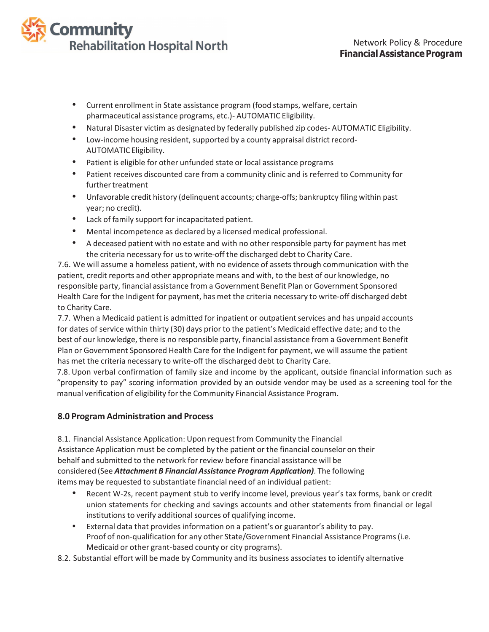# **Community Rehabilitation Hospital North**

- Current enrollment in State assistance program (food stamps, welfare, certain pharmaceutical assistance programs, etc.)- AUTOMATIC Eligibility.
- Natural Disaster victim as designated by federally published zip codes- AUTOMATIC Eligibility.
- Low-income housing resident, supported by a county appraisal district record-AUTOMATIC Eligibility.
- Patient is eligible for other unfunded state or local assistance programs
- Patient receives discounted care from a community clinic and is referred to Community for further treatment
- Unfavorable credit history (delinquent accounts; charge-offs; bankruptcy filing within past year; no credit).
- Lack of family support for incapacitated patient.
- Mental incompetence as declared by a licensed medical professional.
- A deceased patient with no estate and with no other responsible party for payment has met the criteria necessary for us to write-off the discharged debt to Charity Care.

7.6. We will assume a homeless patient, with no evidence of assets through communication with the patient, credit reports and other appropriate means and with, to the best of our knowledge, no responsible party, financial assistance from a Government Benefit Plan or Government Sponsored Health Care for the Indigent for payment, has met the criteria necessary to write-off discharged debt to Charity Care.

7.7. When a Medicaid patient is admitted for inpatient or outpatient services and has unpaid accounts for dates of service within thirty (30) days prior to the patient's Medicaid effective date; and to the best of our knowledge, there is no responsible party, financial assistance from a Government Benefit Plan or Government Sponsored Health Care for the Indigent for payment, we will assume the patient has met the criteria necessary to write-off the discharged debt to Charity Care.

7.8. Upon verbal confirmation of family size and income by the applicant, outside financial information such as "propensity to pay" scoring information provided by an outside vendor may be used as a screening tool for the manual verification of eligibility for the Community Financial Assistance Program.

# **8.0 Program Administration and Process**

8.1. Financial Assistance Application: Upon request from Community the Financial Assistance Application must be completed by the patient or the financial counselor on their behalf and submitted to the network for review before financial assistance will be considered (See *Attachment B Financial Assistance Program Application)*. The following items may be requested to substantiate financial need of an individual patient:

- Recent W-2s, recent payment stub to verify income level, previous year's tax forms, bank or credit union statements for checking and savings accounts and other statements from financial or legal institutions to verify additional sources of qualifying income.
- External data that provides information on a patient's or guarantor's ability to pay. Proof of non-qualification for any other State/Government Financial Assistance Programs(i.e. Medicaid or other grant-based county or city programs).
- 8.2. Substantial effort will be made by Community and its business associates to identify alternative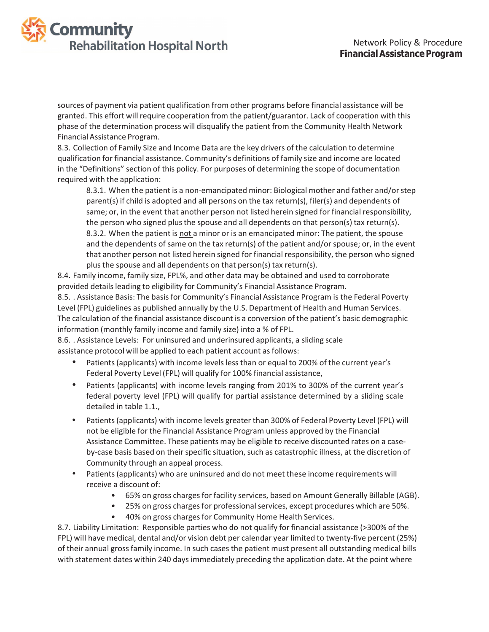

sources of payment via patient qualification from other programs before financial assistance will be granted. This effort will require cooperation from the patient/guarantor. Lack of cooperation with this phase of the determination process will disqualify the patient from the Community Health Network Financial Assistance Program.

8.3. Collection of Family Size and Income Data are the key drivers of the calculation to determine qualification for financial assistance. Community's definitions of family size and income are located in the "Definitions" section of this policy. For purposes of determining the scope of documentation required with the application:

8.3.1. When the patient is a non-emancipated minor: Biological mother and father and/orstep parent(s) if child is adopted and all persons on the tax return(s), filer(s) and dependents of same; or, in the event that another person not listed herein signed for financial responsibility, the person who signed plus the spouse and all dependents on that person(s) tax return(s). 8.3.2. When the patient is not a minor or is an emancipated minor: The patient, the spouse and the dependents of same on the tax return(s) of the patient and/or spouse; or, in the event that another person not listed herein signed for financial responsibility, the person who signed plus the spouse and all dependents on that person(s) tax return(s).

8.4. Family income, family size, FPL%, and other data may be obtained and used to corroborate provided detailsleading to eligibility for Community's Financial Assistance Program.

8.5. . Assistance Basis: The basis for Community's Financial Assistance Program is the Federal Poverty Level (FPL) guidelines as published annually by the U.S. Department of Health and Human Services. The calculation of the financial assistance discount is a conversion of the patient's basic demographic information (monthly family income and family size) into a % of FPL.

8.6. . Assistance Levels: For uninsured and underinsured applicants, a sliding scale assistance protocol will be applied to each patient account as follows:

- Patients(applicants) with income levels lessthan or equal to 200% of the current year's Federal Poverty Level (FPL) will qualify for 100% financial assistance,
- Patients (applicants) with income levels ranging from 201% to 300% of the current year's federal poverty level (FPL) will qualify for partial assistance determined by a sliding scale detailed in table 1.1.,
- Patients(applicants) with income levels greater than 300% of Federal Poverty Level (FPL) will not be eligible for the Financial Assistance Program unless approved by the Financial Assistance Committee. These patients may be eligible to receive discounted rates on a caseby-case basis based on their specific situation, such as catastrophic illness, at the discretion of Community through an appeal process.
- Patients(applicants) who are uninsured and do not meet these income requirements will receive a discount of:
	- 65% on gross charges for facility services, based on Amount Generally Billable (AGB).
	- 25% on gross charges for professional services, except procedures which are 50%.
	- 40% on gross charges for Community Home Health Services.

8.7. Liability Limitation: Responsible parties who do not qualify for financial assistance (>300% of the FPL) will have medical, dental and/or vision debt per calendar year limited to twenty-five percent (25%) of their annual gross family income. In such cases the patient must present all outstanding medical bills with statement dates within 240 days immediately preceding the application date. At the point where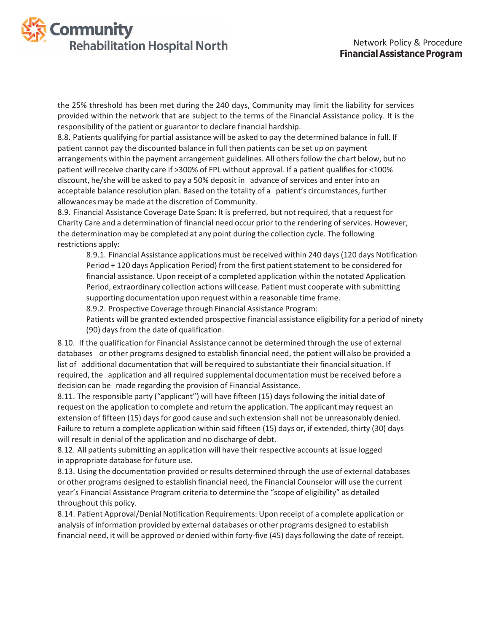

the 25% threshold has been met during the 240 days, Community may limit the liability for services provided within the network that are subject to the terms of the Financial Assistance policy. It is the responsibility of the patient or guarantor to declare financial hardship.

8.8. Patients qualifying for partial assistance will be asked to pay the determined balance in full. If patient cannot pay the discounted balance in full then patients can be set up on payment arrangements within the payment arrangement guidelines. All others follow the chart below, but no patient will receive charity care if >300% of FPL without approval. If a patient qualifies for <100% discount, he/she will be asked to pay a 50% deposit in advance of services and enter into an acceptable balance resolution plan. Based on the totality of a patient's circumstances, further allowances may be made at the discretion of Community.

8.9. Financial Assistance Coverage Date Span: It is preferred, but not required, that a request for Charity Care and a determination of financial need occur prior to the rendering of services. However, the determination may be completed at any point during the collection cycle. The following restrictions apply:

8.9.1. Financial Assistance applications must be received within 240 days(120 days Notification Period + 120 days Application Period) from the first patient statement to be considered for financial assistance. Upon receipt of a completed application within the notated Application Period, extraordinary collection actions will cease. Patient must cooperate with submitting supporting documentation upon request within a reasonable time frame.

8.9.2. Prospective Coverage through Financial Assistance Program:

Patients will be granted extended prospective financial assistance eligibility for a period of ninety (90) days from the date of qualification.

8.10. If the qualification for Financial Assistance cannot be determined through the use of external databases or other programs designed to establish financial need, the patient will also be provided a list of additional documentation that will be required to substantiate their financial situation. If required, the application and all required supplemental documentation must be received before a decision can be made regarding the provision of Financial Assistance.

8.11. The responsible party ("applicant") will have fifteen (15) days following the initial date of request on the application to complete and return the application. The applicant may request an extension of fifteen (15) days for good cause and such extension shall not be unreasonably denied. Failure to return a complete application within said fifteen (15) days or, if extended, thirty (30) days will result in denial of the application and no discharge of debt.

8.12. All patients submitting an application will have their respective accounts at issue logged in appropriate database for future use.

8.13. Using the documentation provided or results determined through the use of external databases or other programs designed to establish financial need, the Financial Counselor will use the current year's Financial Assistance Program criteria to determine the "scope of eligibility" as detailed throughout this policy.

8.14. Patient Approval/Denial Notification Requirements: Upon receipt of a complete application or analysis of information provided by external databases or other programs designed to establish financial need, it will be approved or denied within forty-five (45) days following the date of receipt.